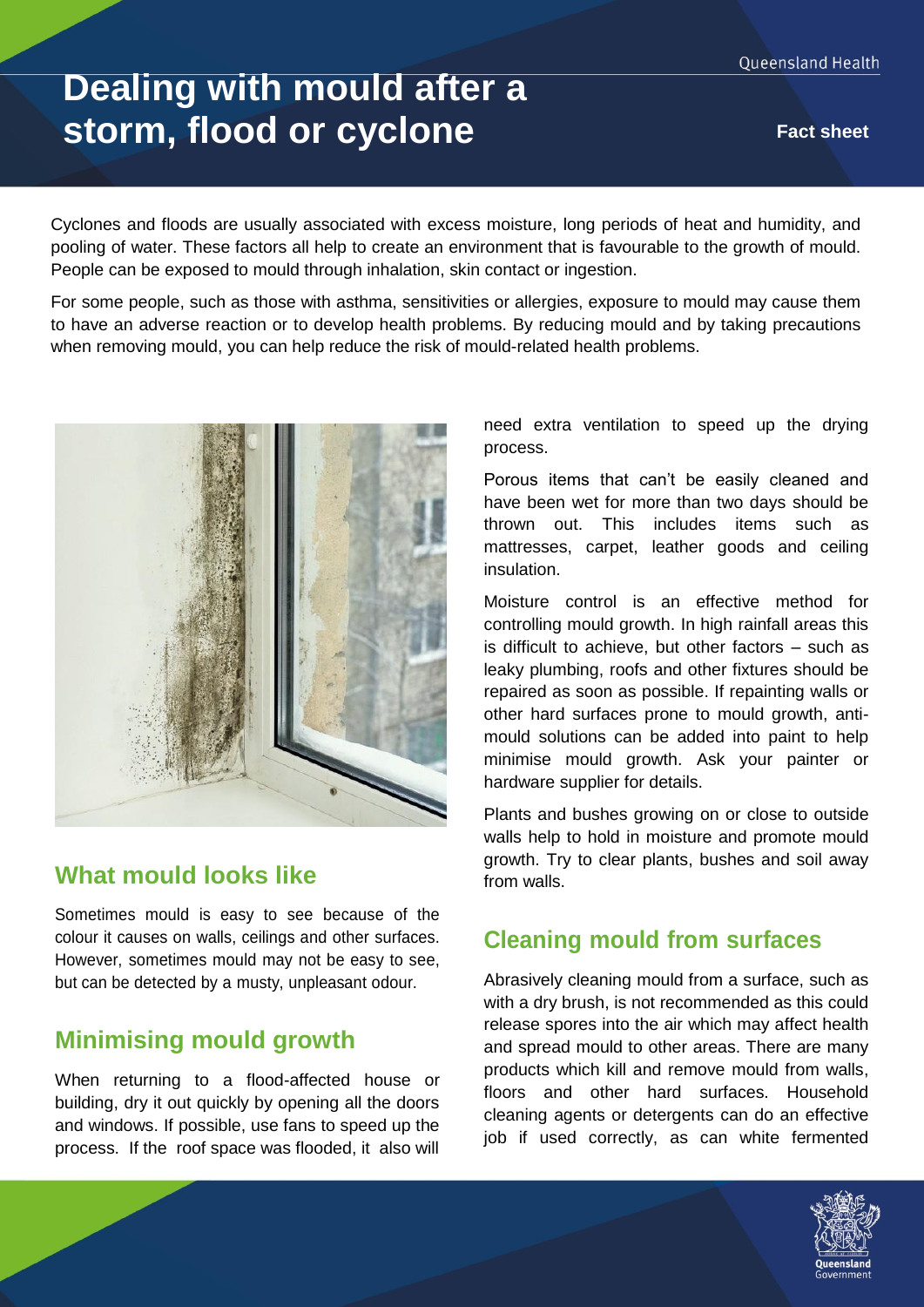# **Dealing with mould after a storm, flood or cyclone Fact sheet**

Cyclones and floods are usually associated with excess moisture, long periods of heat and humidity, and pooling of water. These factors all help to create an environment that is favourable to the growth of mould. People can be exposed to mould through inhalation, skin contact or ingestion.

For some people, such as those with asthma, sensitivities or allergies, exposure to mould may cause them to have an adverse reaction or to develop health problems. By reducing mould and by taking precautions when removing mould, you can help reduce the risk of mould-related health problems.



### **What mould looks like**

Sometimes mould is easy to see because of the colour it causes on walls, ceilings and other surfaces. However, sometimes mould may not be easy to see, but can be detected by a musty, unpleasant odour.

## **Minimising mould growth**

When returning to a flood-affected house or building, dry it out quickly by opening all the doors and windows. If possible, use fans to speed up the process. If the roof space was flooded, it also will need extra ventilation to speed up the drying process.

Porous items that can't be easily cleaned and have been wet for more than two days should be thrown out. This includes items such as mattresses, carpet, leather goods and ceiling insulation.

Moisture control is an effective method for controlling mould growth. In high rainfall areas this is difficult to achieve, but other factors – such as leaky plumbing, roofs and other fixtures should be repaired as soon as possible. If repainting walls or other hard surfaces prone to mould growth, antimould solutions can be added into paint to help minimise mould growth. Ask your painter or hardware supplier for details.

Plants and bushes growing on or close to outside walls help to hold in moisture and promote mould growth. Try to clear plants, bushes and soil away from walls.

## **Cleaning mould from surfaces**

Abrasively cleaning mould from a surface, such as with a dry brush, is not recommended as this could release spores into the air which may affect health and spread mould to other areas. There are many products which kill and remove mould from walls, floors and other hard surfaces. Household cleaning agents or detergents can do an effective job if used correctly, as can white fermented